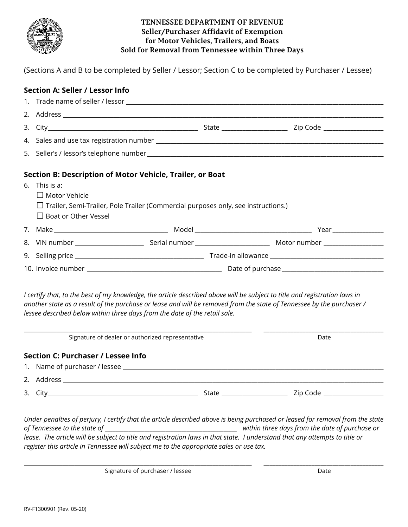

## **TENNESSEE DEPARTMENT OF REVENUE Seller/Purchaser Affidavit of Exemption for Motor Vehicles, Trailers, and Boats Sold for Removal from Tennessee within Three Days**

(Sections A and B to be completed by Seller / Lessor; Section C to be completed by Purchaser / Lessee)

# **Section A: Seller / Lessor Info**

| Section B: Description of Motor Vehicle, Trailer, or Boat<br>6. This is a:<br>$\Box$ Motor Vehicle<br>$\Box$ Trailer, Semi-Trailer, Pole Trailer (Commercial purposes only, see instructions.)<br>$\Box$ Boat or Other Vessel                                                                                                     |                                                  |  |      |  |
|-----------------------------------------------------------------------------------------------------------------------------------------------------------------------------------------------------------------------------------------------------------------------------------------------------------------------------------|--------------------------------------------------|--|------|--|
|                                                                                                                                                                                                                                                                                                                                   |                                                  |  |      |  |
|                                                                                                                                                                                                                                                                                                                                   |                                                  |  |      |  |
|                                                                                                                                                                                                                                                                                                                                   |                                                  |  |      |  |
|                                                                                                                                                                                                                                                                                                                                   |                                                  |  |      |  |
| I certify that, to the best of my knowledge, the article described above will be subject to title and registration laws in<br>another state as a result of the purchase or lease and will be removed from the state of Tennessee by the purchaser /<br>lessee described below within three days from the date of the retail sale. |                                                  |  |      |  |
|                                                                                                                                                                                                                                                                                                                                   | Signature of dealer or authorized representative |  | Date |  |
|                                                                                                                                                                                                                                                                                                                                   | Section C: Purchaser / Lessee Info               |  |      |  |
|                                                                                                                                                                                                                                                                                                                                   |                                                  |  |      |  |
|                                                                                                                                                                                                                                                                                                                                   |                                                  |  |      |  |
|                                                                                                                                                                                                                                                                                                                                   |                                                  |  |      |  |
| Under penalties of perjury, I certify that the article described above is being purchased or leased for removal from the state<br>of Tennessee to the state of<br>lease. The article will be subject to title and registration laws in that state. I understand that any attempts to title or                                     |                                                  |  |      |  |

\_\_\_\_\_\_\_\_\_\_\_\_\_\_\_\_\_\_\_\_\_\_\_\_\_\_\_\_\_\_\_\_\_\_\_\_\_\_\_\_\_\_\_\_\_\_\_\_\_\_\_\_\_\_\_\_\_\_\_\_\_\_\_\_\_\_\_\_\_\_\_\_\_\_\_\_ \_\_\_\_\_\_\_\_\_\_\_\_\_\_\_\_\_\_\_\_\_\_\_\_\_\_\_\_\_\_\_\_\_\_\_\_\_\_\_\_

Signature of purchaser / lessee Date Date Date Date

*register this article in Tennessee will subject me to the appropriate sales or use tax.*